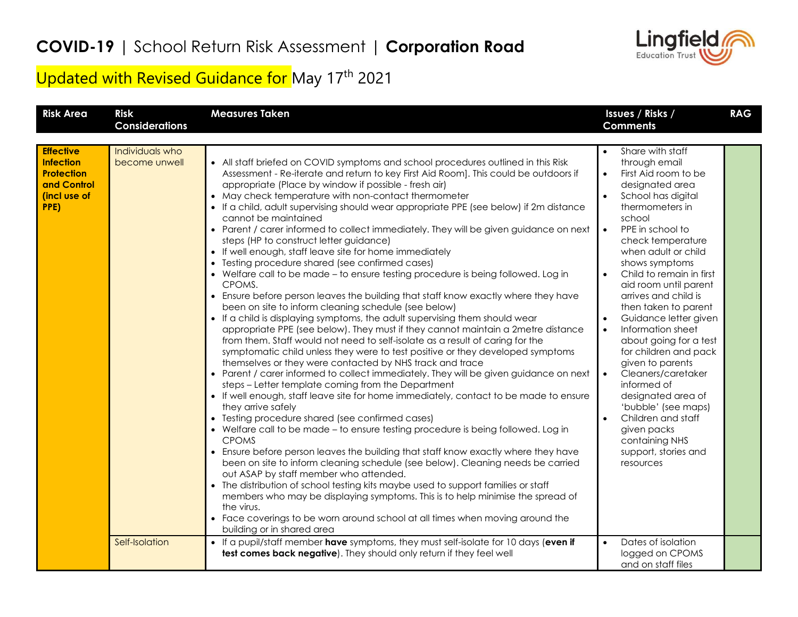

## Updated with Revised Guidance for May 17<sup>th</sup> 2021

| <b>Risk Area</b>                                                                                 | <b>Risk</b><br><b>Considerations</b> | <b>Measures Taken</b>                                                                                                                                                                                                                                                                                                                                                                                                                                                                                                                                                                                                                                                                                                                                                                                                                                                                                                                                                                                                                                                                                                                                                                                                                                                                                                                                                                                                                                                                                                                                                                                                                                                                                                                                                                                                                                                                                                                                                                                                                                                                                                                                                                                                                                        | Issues / Risks /<br><b>Comments</b>                                                                                                                                                                                                                                                                                                                                                                                                                                                                                                                                                                                                                                                                                  | <b>RAG</b> |
|--------------------------------------------------------------------------------------------------|--------------------------------------|--------------------------------------------------------------------------------------------------------------------------------------------------------------------------------------------------------------------------------------------------------------------------------------------------------------------------------------------------------------------------------------------------------------------------------------------------------------------------------------------------------------------------------------------------------------------------------------------------------------------------------------------------------------------------------------------------------------------------------------------------------------------------------------------------------------------------------------------------------------------------------------------------------------------------------------------------------------------------------------------------------------------------------------------------------------------------------------------------------------------------------------------------------------------------------------------------------------------------------------------------------------------------------------------------------------------------------------------------------------------------------------------------------------------------------------------------------------------------------------------------------------------------------------------------------------------------------------------------------------------------------------------------------------------------------------------------------------------------------------------------------------------------------------------------------------------------------------------------------------------------------------------------------------------------------------------------------------------------------------------------------------------------------------------------------------------------------------------------------------------------------------------------------------------------------------------------------------------------------------------------------------|----------------------------------------------------------------------------------------------------------------------------------------------------------------------------------------------------------------------------------------------------------------------------------------------------------------------------------------------------------------------------------------------------------------------------------------------------------------------------------------------------------------------------------------------------------------------------------------------------------------------------------------------------------------------------------------------------------------------|------------|
|                                                                                                  |                                      |                                                                                                                                                                                                                                                                                                                                                                                                                                                                                                                                                                                                                                                                                                                                                                                                                                                                                                                                                                                                                                                                                                                                                                                                                                                                                                                                                                                                                                                                                                                                                                                                                                                                                                                                                                                                                                                                                                                                                                                                                                                                                                                                                                                                                                                              |                                                                                                                                                                                                                                                                                                                                                                                                                                                                                                                                                                                                                                                                                                                      |            |
| <b>Effective</b><br><b>Infection</b><br><b>Protection</b><br>and Control<br>(incl use of<br>PPE) | Individuals who<br>become unwell     | • All staff briefed on COVID symptoms and school procedures outlined in this Risk<br>Assessment - Re-iterate and return to key First Aid Room]. This could be outdoors if<br>appropriate (Place by window if possible - fresh air)<br>• May check temperature with non-contact thermometer<br>• If a child, adult supervising should wear appropriate PPE (see below) if 2m distance<br>cannot be maintained<br>• Parent / carer informed to collect immediately. They will be given guidance on next<br>steps (HP to construct letter guidance)<br>• If well enough, staff leave site for home immediately<br>• Testing procedure shared (see confirmed cases)<br>• Welfare call to be made - to ensure testing procedure is being followed. Log in<br>CPOMS.<br>• Ensure before person leaves the building that staff know exactly where they have<br>been on site to inform cleaning schedule (see below)<br>• If a child is displaying symptoms, the adult supervising them should wear<br>appropriate PPE (see below). They must if they cannot maintain a 2metre distance<br>from them. Staff would not need to self-isolate as a result of caring for the<br>symptomatic child unless they were to test positive or they developed symptoms<br>themselves or they were contacted by NHS track and trace<br>• Parent / carer informed to collect immediately. They will be given guidance on next<br>steps - Letter template coming from the Department<br>• If well enough, staff leave site for home immediately, contact to be made to ensure<br>they arrive safely<br>• Testing procedure shared (see confirmed cases)<br>• Welfare call to be made - to ensure testing procedure is being followed. Log in<br><b>CPOMS</b><br>• Ensure before person leaves the building that staff know exactly where they have<br>been on site to inform cleaning schedule (see below). Cleaning needs be carried<br>out ASAP by staff member who attended.<br>• The distribution of school testing kits maybe used to support families or staff<br>members who may be displaying symptoms. This is to help minimise the spread of<br>the virus.<br>• Face coverings to be worn around school at all times when moving around the<br>building or in shared area | Share with staff<br>through email<br>First Aid room to be<br>$\bullet$<br>designated area<br>$\bullet$<br>School has digital<br>thermometers in<br>school<br>PPE in school to<br>$\bullet$<br>check temperature<br>when adult or child<br>shows symptoms<br>Child to remain in first<br>$\bullet$<br>aid room until parent<br>arrives and child is<br>then taken to parent<br>Guidance letter given<br>$\bullet$<br>Information sheet<br>$\bullet$<br>about going for a test<br>for children and pack<br>given to parents<br>Cleaners/caretaker<br>informed of<br>designated area of<br>'bubble' (see maps)<br>Children and staff<br>$\bullet$<br>given packs<br>containing NHS<br>support, stories and<br>resources |            |
|                                                                                                  | Self-Isolation                       | • If a pupil/staff member have symptoms, they must self-isolate for 10 days (even if<br>test comes back negative). They should only return if they feel well                                                                                                                                                                                                                                                                                                                                                                                                                                                                                                                                                                                                                                                                                                                                                                                                                                                                                                                                                                                                                                                                                                                                                                                                                                                                                                                                                                                                                                                                                                                                                                                                                                                                                                                                                                                                                                                                                                                                                                                                                                                                                                 | Dates of isolation<br>$\bullet$<br>logged on CPOMS<br>and on staff files                                                                                                                                                                                                                                                                                                                                                                                                                                                                                                                                                                                                                                             |            |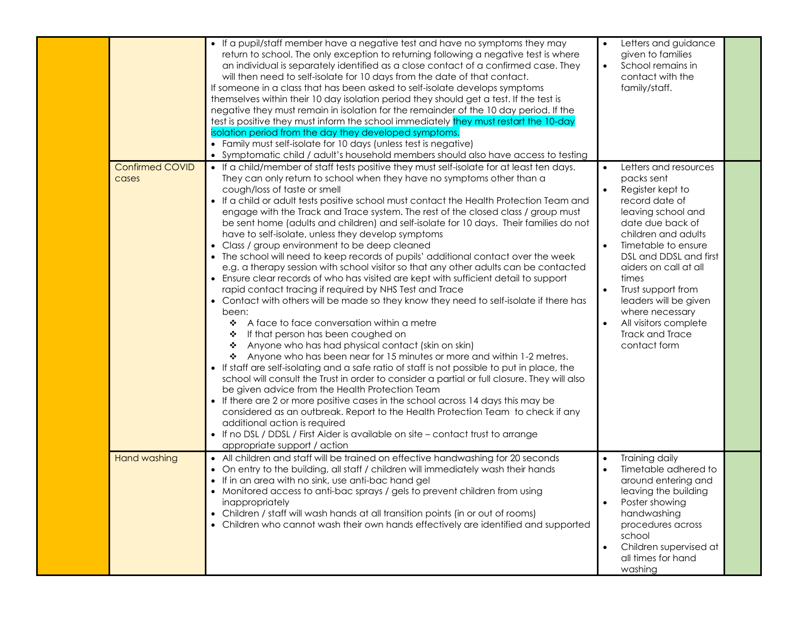|                                 | • If a pupil/staff member have a negative test and have no symptoms they may<br>return to school. The only exception to returning following a negative test is where<br>an individual is separately identified as a close contact of a confirmed case. They<br>will then need to self-isolate for 10 days from the date of that contact.<br>If someone in a class that has been asked to self-isolate develops symptoms<br>themselves within their 10 day isolation period they should get a test. If the test is<br>negative they must remain in isolation for the remainder of the 10 day period. If the<br>test is positive they must inform the school immediately they must restart the 10-day<br>isolation period from the day they developed symptoms.<br>• Family must self-isolate for 10 days (unless test is negative)<br>• Symptomatic child / adult's household members should also have access to testing                                                                                                                                                                                                                                                                                                                                                                                                                                                                                                                                                                                                                                                                                                                                                                                                                                                                                                                          | Letters and guidance<br>given to families<br>School remains in<br>$\bullet$<br>contact with the<br>family/staff.                                                                                                                                                                                                                                                         |  |
|---------------------------------|--------------------------------------------------------------------------------------------------------------------------------------------------------------------------------------------------------------------------------------------------------------------------------------------------------------------------------------------------------------------------------------------------------------------------------------------------------------------------------------------------------------------------------------------------------------------------------------------------------------------------------------------------------------------------------------------------------------------------------------------------------------------------------------------------------------------------------------------------------------------------------------------------------------------------------------------------------------------------------------------------------------------------------------------------------------------------------------------------------------------------------------------------------------------------------------------------------------------------------------------------------------------------------------------------------------------------------------------------------------------------------------------------------------------------------------------------------------------------------------------------------------------------------------------------------------------------------------------------------------------------------------------------------------------------------------------------------------------------------------------------------------------------------------------------------------------------------------------------|--------------------------------------------------------------------------------------------------------------------------------------------------------------------------------------------------------------------------------------------------------------------------------------------------------------------------------------------------------------------------|--|
| <b>Confirmed COVID</b><br>cases | • If a child/member of staff tests positive they must self-isolate for at least ten days.<br>They can only return to school when they have no symptoms other than a<br>cough/loss of taste or smell<br>• If a child or adult tests positive school must contact the Health Protection Team and<br>engage with the Track and Trace system. The rest of the closed class / group must<br>be sent home (adults and children) and self-isolate for 10 days. Their families do not<br>have to self-isolate, unless they develop symptoms<br>• Class / group environment to be deep cleaned<br>• The school will need to keep records of pupils' additional contact over the week<br>e.g. a therapy session with school visitor so that any other adults can be contacted<br>• Ensure clear records of who has visited are kept with sufficient detail to support<br>rapid contact tracing if required by NHS Test and Trace<br>• Contact with others will be made so they know they need to self-isolate if there has<br>been:<br>A face to face conversation within a metre<br>❖<br>If that person has been coughed on<br>❖<br>Anyone who has had physical contact (skin on skin)<br>❖<br>Anyone who has been near for 15 minutes or more and within 1-2 metres.<br>❖<br>• If staff are self-isolating and a safe ratio of staff is not possible to put in place, the<br>school will consult the Trust in order to consider a partial or full closure. They will also<br>be given advice from the Health Protection Team<br>• If there are 2 or more positive cases in the school across 14 days this may be<br>considered as an outbreak. Report to the Health Protection Team to check if any<br>additional action is required<br>• If no DSL / DDSL / First Aider is available on site - contact trust to arrange<br>appropriate support / action | Letters and resources<br>packs sent<br>Register kept to<br>record date of<br>leaving school and<br>date due back of<br>children and adults<br>Timetable to ensure<br>$\bullet$<br>DSL and DDSL and first<br>aiders on call at all<br>times<br>Trust support from<br>leaders will be given<br>where necessary<br>All visitors complete<br>Track and Trace<br>contact form |  |
| <b>Hand washing</b>             | • All children and staff will be trained on effective handwashing for 20 seconds<br>• On entry to the building, all staff / children will immediately wash their hands<br>• If in an area with no sink, use anti-bac hand gel<br>• Monitored access to anti-bac sprays / gels to prevent children from using<br>inappropriately<br>• Children / staff will wash hands at all transition points (in or out of rooms)<br>• Children who cannot wash their own hands effectively are identified and supported                                                                                                                                                                                                                                                                                                                                                                                                                                                                                                                                                                                                                                                                                                                                                                                                                                                                                                                                                                                                                                                                                                                                                                                                                                                                                                                                       | Training daily<br>$\bullet$<br>Timetable adhered to<br>$\bullet$<br>around entering and<br>leaving the building<br>Poster showing<br>handwashing<br>procedures across<br>school<br>Children supervised at<br>$\bullet$<br>all times for hand<br>washing                                                                                                                  |  |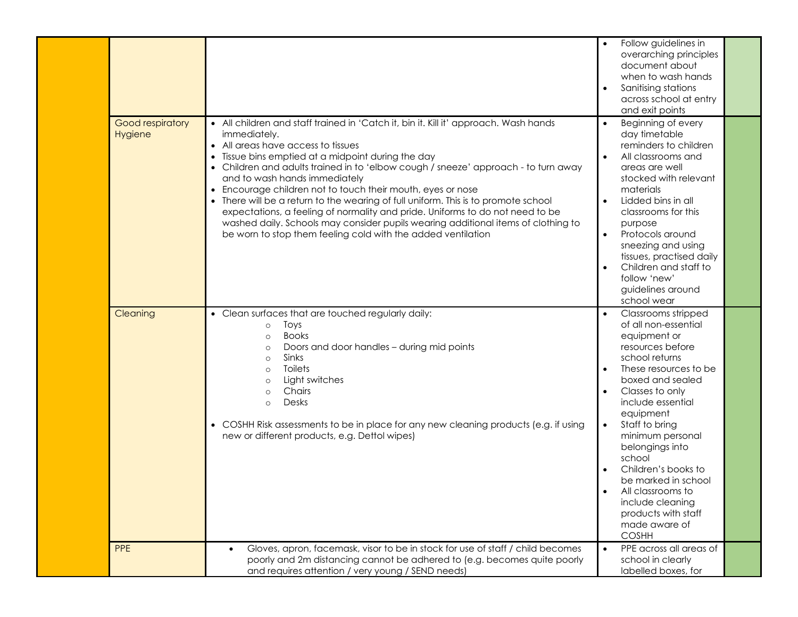|                             |                                                                                                                                                                                                                                                                                                                                                                                                                                                                                                                                                                                                                                                                                                                    | Follow guidelines in<br>overarching principles<br>document about<br>when to wash hands<br>Sanitising stations<br>across school at entry<br>and exit points                                                                                                                                                                                                                                                                         |
|-----------------------------|--------------------------------------------------------------------------------------------------------------------------------------------------------------------------------------------------------------------------------------------------------------------------------------------------------------------------------------------------------------------------------------------------------------------------------------------------------------------------------------------------------------------------------------------------------------------------------------------------------------------------------------------------------------------------------------------------------------------|------------------------------------------------------------------------------------------------------------------------------------------------------------------------------------------------------------------------------------------------------------------------------------------------------------------------------------------------------------------------------------------------------------------------------------|
| Good respiratory<br>Hygiene | • All children and staff trained in 'Catch it, bin it. Kill it' approach. Wash hands<br>immediately.<br>• All areas have access to tissues<br>• Tissue bins emptied at a midpoint during the day<br>• Children and adults trained in to 'elbow cough / sneeze' approach - to turn away<br>and to wash hands immediately<br>• Encourage children not to touch their mouth, eyes or nose<br>• There will be a return to the wearing of full uniform. This is to promote school<br>expectations, a feeling of normality and pride. Uniforms to do not need to be<br>washed daily. Schools may consider pupils wearing additional items of clothing to<br>be worn to stop them feeling cold with the added ventilation | Beginning of every<br>$\bullet$<br>day timetable<br>reminders to children<br>All classrooms and<br>areas are well<br>stocked with relevant<br>materials<br>Lidded bins in all<br>$\bullet$<br>classrooms for this<br>purpose<br>Protocols around<br>$\bullet$<br>sneezing and using<br>tissues, practised daily<br>Children and staff to<br>$\bullet$<br>follow 'new'<br>guidelines around<br>school wear                          |
| Cleaning                    | • Clean surfaces that are touched regularly daily:<br>Toys<br>$\circ$<br><b>Books</b><br>$\circ$<br>Doors and door handles - during mid points<br>$\circ$<br>Sinks<br>$\circ$<br><b>Toilets</b><br>$\circ$<br>Light switches<br>$\circ$<br>Chairs<br>$\circ$<br>Desks<br>$\circ$<br>• COSHH Risk assessments to be in place for any new cleaning products (e.g. if using<br>new or different products, e.g. Dettol wipes)                                                                                                                                                                                                                                                                                          | Classrooms stripped<br>of all non-essential<br>equipment or<br>resources before<br>school returns<br>These resources to be<br>boxed and sealed<br>Classes to only<br>include essential<br>equipment<br>Staff to bring<br>$\bullet$<br>minimum personal<br>belongings into<br>school<br>Children's books to<br>be marked in school<br>All classrooms to<br>include cleaning<br>products with staff<br>made aware of<br><b>COSHH</b> |
| <b>PPE</b>                  | Gloves, apron, facemask, visor to be in stock for use of staff / child becomes<br>poorly and 2m distancing cannot be adhered to (e.g. becomes quite poorly<br>and requires attention / very young / SEND needs)                                                                                                                                                                                                                                                                                                                                                                                                                                                                                                    | PPE across all areas of<br>$\bullet$<br>school in clearly<br>labelled boxes, for                                                                                                                                                                                                                                                                                                                                                   |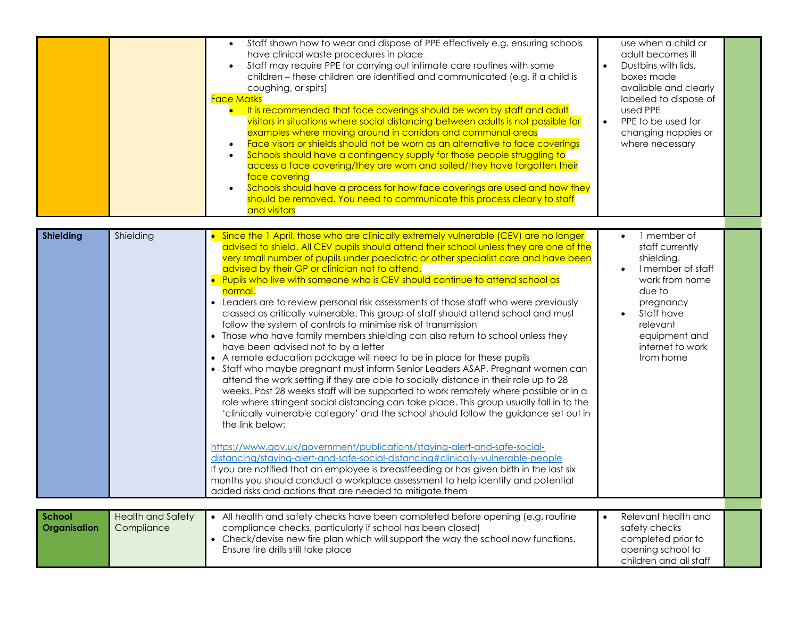|                               |                                        | Staff shown how to wear and dispose of PPE effectively e.g. ensuring schools<br>have clinical waste procedures in place<br>Staff may require PPE for carrying out intimate care routines with some<br>children - these children are identified and communicated (e.g. if a child is<br>coughing, or spits)<br><b>Face Masks</b><br>It is recommended that face coverings should be worn by staff and adult<br>visitors in situations where social distancing between adults is not possible for<br>examples where moving around in corridors and communal areas<br>Face visors or shields should not be worn as an alternative to face coverings<br>Schools should have a contingency supply for those people struggling to<br>access a face covering/they are worn and soiled/they have forgotten their<br>face covering<br>Schools should have a process for how face coverings are used and how they<br>$\bullet$<br>should be removed. You need to communicate this process clearly to staff<br>and visitors                                                                                                                                                                                                                                                                                                                                                                                                                                                                                                                                                                                                                                                                                                                                                    | use when a child or<br>adult becomes ill<br>Dustbins with lids,<br>$\bullet$<br>boxes made<br>available and clearly<br>labelled to dispose of<br>used PPE<br>PPE to be used for<br>$\bullet$<br>changing nappies or<br>where necessary |  |
|-------------------------------|----------------------------------------|---------------------------------------------------------------------------------------------------------------------------------------------------------------------------------------------------------------------------------------------------------------------------------------------------------------------------------------------------------------------------------------------------------------------------------------------------------------------------------------------------------------------------------------------------------------------------------------------------------------------------------------------------------------------------------------------------------------------------------------------------------------------------------------------------------------------------------------------------------------------------------------------------------------------------------------------------------------------------------------------------------------------------------------------------------------------------------------------------------------------------------------------------------------------------------------------------------------------------------------------------------------------------------------------------------------------------------------------------------------------------------------------------------------------------------------------------------------------------------------------------------------------------------------------------------------------------------------------------------------------------------------------------------------------------------------------------------------------------------------------------------------------|----------------------------------------------------------------------------------------------------------------------------------------------------------------------------------------------------------------------------------------|--|
| <b>Shielding</b>              | Shielding                              | • Since the 1 April, those who are clinically extremely vulnerable (CEV) are no longer<br>advised to shield. All CEV pupils should attend their school unless they are one of the<br>very small number of pupils under paediatric or other specialist care and have been<br>advised by their GP or clinician not to attend.<br>• Pupils who live with someone who is CEV should continue to attend school as<br>normal.<br>• Leaders are to review personal risk assessments of those staff who were previously<br>classed as critically vulnerable. This group of staff should attend school and must<br>follow the system of controls to minimise risk of transmission<br>• Those who have family members shielding can also return to school unless they<br>have been advised not to by a letter<br>• A remote education package will need to be in place for these pupils<br>• Staff who maybe pregnant must inform Senior Leaders ASAP. Pregnant women can<br>attend the work setting if they are able to socially distance in their role up to 28<br>weeks. Post 28 weeks staff will be supported to work remotely where possible or in a<br>role where stringent social distancing can take place. This group usually fall in to the<br>'clinically vulnerable category' and the school should follow the guidance set out in<br>the link below:<br>https://www.gov.uk/government/publications/staying-alert-and-safe-social-<br>distancing/staying-alert-and-safe-social-distancing#clinically-vulnerable-people<br>If you are notified that an employee is breastfeeding or has given birth in the last six<br>months you should conduct a workplace assessment to help identify and potential<br>added risks and actions that are needed to mitigate them | 1 member of<br>$\bullet$<br>staff currently<br>shielding.<br>I member of staff<br>work from home<br>due to<br>pregnancy<br>Staff have<br>$\bullet$<br>relevant<br>equipment and<br>internet to work<br>from home                       |  |
|                               |                                        |                                                                                                                                                                                                                                                                                                                                                                                                                                                                                                                                                                                                                                                                                                                                                                                                                                                                                                                                                                                                                                                                                                                                                                                                                                                                                                                                                                                                                                                                                                                                                                                                                                                                                                                                                                     |                                                                                                                                                                                                                                        |  |
| <b>School</b><br>Organisation | <b>Health and Safety</b><br>Compliance | • All health and safety checks have been completed before opening (e.g. routine<br>compliance checks, particularly if school has been closed)<br>• Check/devise new fire plan which will support the way the school now functions.<br>Ensure fire drills still take place                                                                                                                                                                                                                                                                                                                                                                                                                                                                                                                                                                                                                                                                                                                                                                                                                                                                                                                                                                                                                                                                                                                                                                                                                                                                                                                                                                                                                                                                                           | Relevant health and<br>$\bullet$<br>safety checks<br>completed prior to<br>opening school to<br>children and all staff                                                                                                                 |  |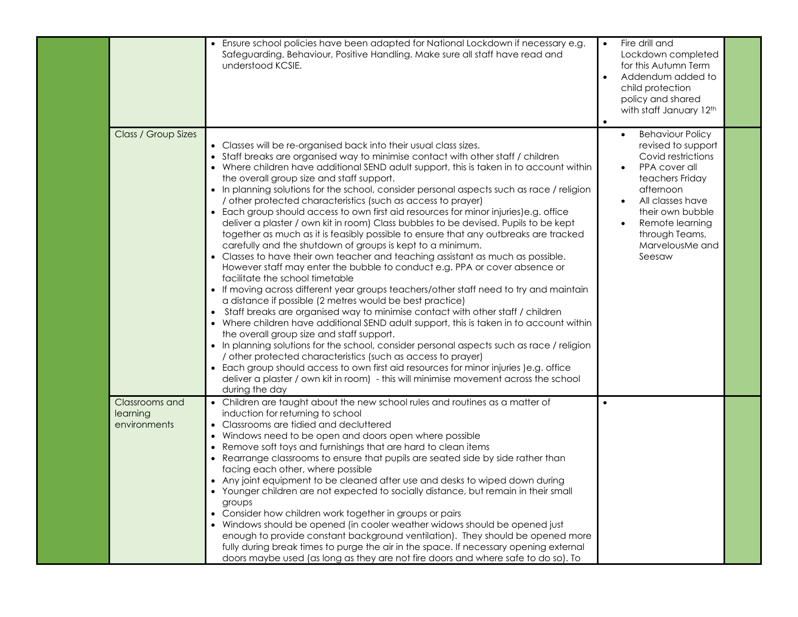|                                            | • Ensure school policies have been adapted for National Lockdown if necessary e.g.<br>Safeguarding, Behaviour, Positive Handling. Make sure all staff have read and<br>understood KCSIE.                                                                                                                                                                                                                                                                                                                                                                                                                                                                                                                                                                                                                                                                                                                                                                                                                                                                                                                                                                                                                                                                                                                                                                                                                                                                                                                                                                                                                                                                                                                                                              | Fire drill and<br>$\bullet$<br>Lockdown completed<br>for this Autumn Term<br>Addendum added to<br>$\bullet$<br>child protection<br>policy and shared<br>with staff January 12th<br>$\bullet$                                                |  |
|--------------------------------------------|-------------------------------------------------------------------------------------------------------------------------------------------------------------------------------------------------------------------------------------------------------------------------------------------------------------------------------------------------------------------------------------------------------------------------------------------------------------------------------------------------------------------------------------------------------------------------------------------------------------------------------------------------------------------------------------------------------------------------------------------------------------------------------------------------------------------------------------------------------------------------------------------------------------------------------------------------------------------------------------------------------------------------------------------------------------------------------------------------------------------------------------------------------------------------------------------------------------------------------------------------------------------------------------------------------------------------------------------------------------------------------------------------------------------------------------------------------------------------------------------------------------------------------------------------------------------------------------------------------------------------------------------------------------------------------------------------------------------------------------------------------|---------------------------------------------------------------------------------------------------------------------------------------------------------------------------------------------------------------------------------------------|--|
| Class / Group Sizes                        | • Classes will be re-organised back into their usual class sizes.<br>• Staff breaks are organised way to minimise contact with other staff / children<br>• Where children have additional SEND adult support, this is taken in to account within<br>the overall group size and staff support.<br>• In planning solutions for the school, consider personal aspects such as race / religion<br>/ other protected characteristics (such as access to prayer)<br>• Each group should access to own first aid resources for minor injuries)e.g. office<br>deliver a plaster / own kit in room) Class bubbles to be devised. Pupils to be kept<br>together as much as it is feasibly possible to ensure that any outbreaks are tracked<br>carefully and the shutdown of groups is kept to a minimum.<br>• Classes to have their own teacher and teaching assistant as much as possible.<br>However staff may enter the bubble to conduct e.g. PPA or cover absence or<br>facilitate the school timetable<br>• If moving across different year groups teachers/other staff need to try and maintain<br>a distance if possible (2 metres would be best practice)<br>• Staff breaks are organised way to minimise contact with other staff / children<br>• Where children have additional SEND adult support, this is taken in to account within<br>the overall group size and staff support.<br>• In planning solutions for the school, consider personal aspects such as race / religion<br>/ other protected characteristics (such as access to prayer)<br>• Each group should access to own first aid resources for minor injuries (e.g. office<br>deliver a plaster / own kit in room) - this will minimise movement across the school<br>during the day | <b>Behaviour Policy</b><br>$\bullet$<br>revised to support<br>Covid restrictions<br>PPA cover all<br>teachers Friday<br>afternoon<br>All classes have<br>their own bubble<br>Remote learning<br>through Teams,<br>MarvelousMe and<br>Seesaw |  |
| Classrooms and<br>learning<br>environments | • Children are taught about the new school rules and routines as a matter of<br>induction for returning to school<br>• Classrooms are tidied and decluttered<br>• Windows need to be open and doors open where possible<br>• Remove soft toys and furnishings that are hard to clean items<br>• Rearrange classrooms to ensure that pupils are seated side by side rather than<br>facing each other, where possible<br>• Any joint equipment to be cleaned after use and desks to wiped down during<br>• Younger children are not expected to socially distance, but remain in their small<br>groups<br>• Consider how children work together in groups or pairs<br>• Windows should be opened (in cooler weather widows should be opened just<br>enough to provide constant background ventilation). They should be opened more<br>fully during break times to purge the air in the space. If necessary opening external<br>doors maybe used (as long as they are not fire doors and where safe to do so). To                                                                                                                                                                                                                                                                                                                                                                                                                                                                                                                                                                                                                                                                                                                                        | $\bullet$                                                                                                                                                                                                                                   |  |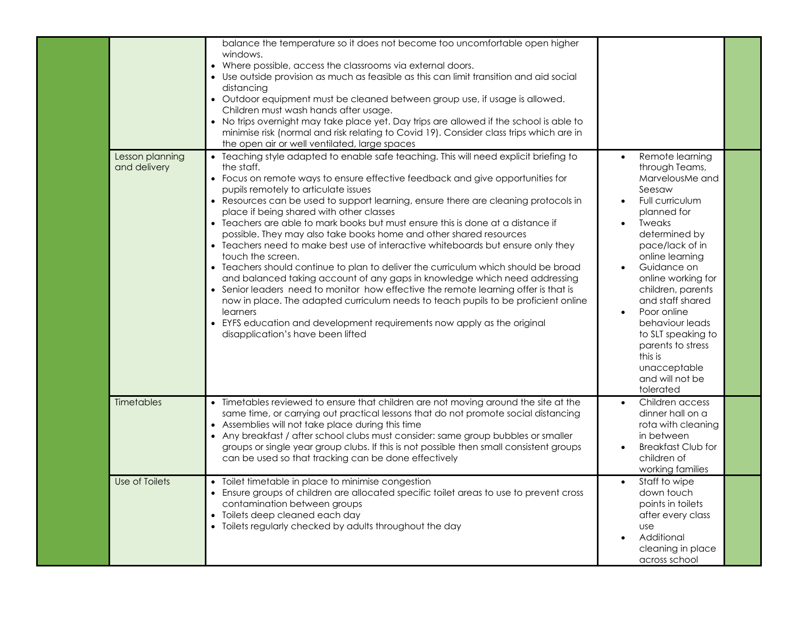|                                 | balance the temperature so it does not become too uncomfortable open higher<br>windows.<br>• Where possible, access the classrooms via external doors.<br>• Use outside provision as much as feasible as this can limit transition and aid social<br>distancing<br>• Outdoor equipment must be cleaned between group use, if usage is allowed.<br>Children must wash hands after usage.<br>• No trips overnight may take place yet. Day trips are allowed if the school is able to<br>minimise risk (normal and risk relating to Covid 19). Consider class trips which are in<br>the open air or well ventilated, large spaces                                                                                                                                                                                                                                                                                                                                                                                                                                                                                  |                                                                                                                                                                                                                                                                                                                                                                                                                                                                 |  |
|---------------------------------|-----------------------------------------------------------------------------------------------------------------------------------------------------------------------------------------------------------------------------------------------------------------------------------------------------------------------------------------------------------------------------------------------------------------------------------------------------------------------------------------------------------------------------------------------------------------------------------------------------------------------------------------------------------------------------------------------------------------------------------------------------------------------------------------------------------------------------------------------------------------------------------------------------------------------------------------------------------------------------------------------------------------------------------------------------------------------------------------------------------------|-----------------------------------------------------------------------------------------------------------------------------------------------------------------------------------------------------------------------------------------------------------------------------------------------------------------------------------------------------------------------------------------------------------------------------------------------------------------|--|
| Lesson planning<br>and delivery | • Teaching style adapted to enable safe teaching. This will need explicit briefing to<br>the staff.<br>• Focus on remote ways to ensure effective feedback and give opportunities for<br>pupils remotely to articulate issues<br>• Resources can be used to support learning, ensure there are cleaning protocols in<br>place if being shared with other classes<br>• Teachers are able to mark books but must ensure this is done at a distance if<br>possible. They may also take books home and other shared resources<br>• Teachers need to make best use of interactive whiteboards but ensure only they<br>touch the screen.<br>• Teachers should continue to plan to deliver the curriculum which should be broad<br>and balanced taking account of any gaps in knowledge which need addressing<br>• Senior leaders need to monitor how effective the remote learning offer is that is<br>now in place. The adapted curriculum needs to teach pupils to be proficient online<br>learners<br>• EYFS education and development requirements now apply as the original<br>disapplication's have been lifted | Remote learning<br>$\bullet$<br>through Teams,<br>MarvelousMe and<br>Seesaw<br>Full curriculum<br>$\bullet$<br>planned for<br><b>Tweaks</b><br>$\bullet$<br>determined by<br>pace/lack of in<br>online learning<br>Guidance on<br>$\bullet$<br>online working for<br>children, parents<br>and staff shared<br>Poor online<br>$\bullet$<br>behaviour leads<br>to SLT speaking to<br>parents to stress<br>this is<br>unacceptable<br>and will not be<br>tolerated |  |
| Timetables                      | • Timetables reviewed to ensure that children are not moving around the site at the<br>same time, or carrying out practical lessons that do not promote social distancing<br>• Assemblies will not take place during this time<br>• Any breakfast / after school clubs must consider: same group bubbles or smaller<br>groups or single year group clubs. If this is not possible then small consistent groups<br>can be used so that tracking can be done effectively                                                                                                                                                                                                                                                                                                                                                                                                                                                                                                                                                                                                                                          | Children access<br>$\bullet$<br>dinner hall on a<br>rota with cleaning<br>in between<br><b>Breakfast Club for</b><br>children of<br>working families                                                                                                                                                                                                                                                                                                            |  |
| Use of Toilets                  | • Toilet timetable in place to minimise congestion<br>• Ensure groups of children are allocated specific toilet areas to use to prevent cross<br>contamination between groups<br>• Toilets deep cleaned each day<br>• Toilets regularly checked by adults throughout the day                                                                                                                                                                                                                                                                                                                                                                                                                                                                                                                                                                                                                                                                                                                                                                                                                                    | Staff to wipe<br>$\bullet$<br>down touch<br>points in toilets<br>after every class<br><b>use</b><br>Additional<br>$\bullet$<br>cleaning in place<br>across school                                                                                                                                                                                                                                                                                               |  |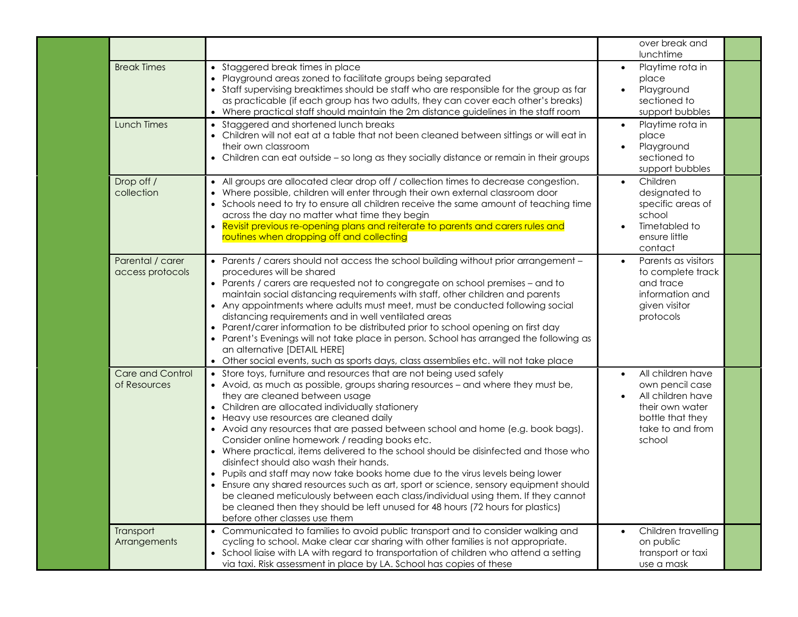|                                      |                                                                                                                                                                                                                                                                                                                                                                                                                                                                                                                                                                                                                                                                                                                                                                                                                                                                                                                                                     | over break and<br>lunchtime                                                                                                                              |  |
|--------------------------------------|-----------------------------------------------------------------------------------------------------------------------------------------------------------------------------------------------------------------------------------------------------------------------------------------------------------------------------------------------------------------------------------------------------------------------------------------------------------------------------------------------------------------------------------------------------------------------------------------------------------------------------------------------------------------------------------------------------------------------------------------------------------------------------------------------------------------------------------------------------------------------------------------------------------------------------------------------------|----------------------------------------------------------------------------------------------------------------------------------------------------------|--|
| <b>Break Times</b>                   | • Staggered break times in place<br>• Playground areas zoned to facilitate groups being separated<br>• Staff supervising breaktimes should be staff who are responsible for the group as far<br>as practicable (if each group has two adults, they can cover each other's breaks)<br>• Where practical staff should maintain the 2m distance guidelines in the staff room                                                                                                                                                                                                                                                                                                                                                                                                                                                                                                                                                                           | Playtime rota in<br>$\bullet$<br>place<br>Playground<br>sectioned to<br>support bubbles                                                                  |  |
| <b>Lunch Times</b>                   | • Staggered and shortened lunch breaks<br>• Children will not eat at a table that not been cleaned between sittings or will eat in<br>their own classroom<br>• Children can eat outside - so long as they socially distance or remain in their groups                                                                                                                                                                                                                                                                                                                                                                                                                                                                                                                                                                                                                                                                                               | Playtime rota in<br>$\bullet$<br>place<br>Playground<br>$\bullet$<br>sectioned to<br>support bubbles                                                     |  |
| Drop off /<br>collection             | • All groups are allocated clear drop off / collection times to decrease congestion.<br>• Where possible, children will enter through their own external classroom door<br>• Schools need to try to ensure all children receive the same amount of teaching time<br>across the day no matter what time they begin<br>Revisit previous re-opening plans and reiterate to parents and carers rules and<br>routines when dropping off and collecting                                                                                                                                                                                                                                                                                                                                                                                                                                                                                                   | Children<br>$\bullet$<br>designated to<br>specific areas of<br>school<br>Timetabled to<br>ensure little<br>contact                                       |  |
| Parental / carer<br>access protocols | • Parents / carers should not access the school building without prior arrangement -<br>procedures will be shared<br>• Parents / carers are requested not to congregate on school premises - and to<br>maintain social distancing requirements with staff, other children and parents<br>• Any appointments where adults must meet, must be conducted following social<br>distancing requirements and in well ventilated areas<br>• Parent/carer information to be distributed prior to school opening on first day<br>• Parent's Evenings will not take place in person. School has arranged the following as<br>an alternative [DETAIL HERE]<br>• Other social events, such as sports days, class assemblies etc. will not take place                                                                                                                                                                                                             | Parents as visitors<br>$\bullet$<br>to complete track<br>and trace<br>information and<br>given visitor<br>protocols                                      |  |
| Care and Control<br>of Resources     | • Store toys, furniture and resources that are not being used safely<br>• Avoid, as much as possible, groups sharing resources - and where they must be,<br>they are cleaned between usage<br>• Children are allocated individually stationery<br>• Heavy use resources are cleaned daily<br>• Avoid any resources that are passed between school and home (e.g. book bags).<br>Consider online homework / reading books etc.<br>• Where practical, items delivered to the school should be disinfected and those who<br>disinfect should also wash their hands.<br>• Pupils and staff may now take books home due to the virus levels being lower<br>• Ensure any shared resources such as art, sport or science, sensory equipment should<br>be cleaned meticulously between each class/individual using them. If they cannot<br>be cleaned then they should be left unused for 48 hours (72 hours for plastics)<br>before other classes use them | All children have<br>$\bullet$<br>own pencil case<br>All children have<br>$\bullet$<br>their own water<br>bottle that they<br>take to and from<br>school |  |
| Transport<br>Arrangements            | • Communicated to families to avoid public transport and to consider walking and<br>cycling to school. Make clear car sharing with other families is not appropriate.<br>• School liaise with LA with regard to transportation of children who attend a setting<br>via taxi. Risk assessment in place by LA. School has copies of these                                                                                                                                                                                                                                                                                                                                                                                                                                                                                                                                                                                                             | Children travelling<br>on public<br>transport or taxi<br>use a mask                                                                                      |  |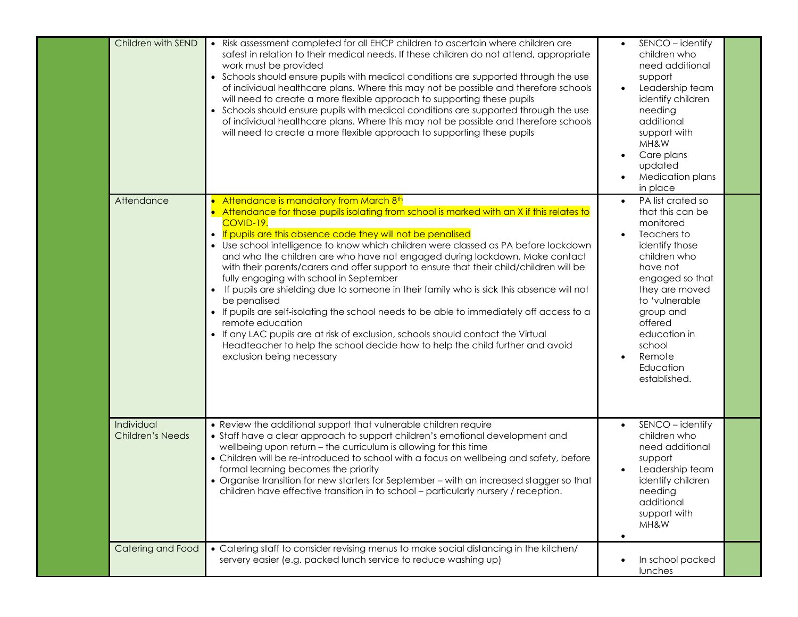| Children with SEND                    | • Risk assessment completed for all EHCP children to ascertain where children are<br>safest in relation to their medical needs. If these children do not attend, appropriate<br>work must be provided<br>• Schools should ensure pupils with medical conditions are supported through the use<br>of individual healthcare plans. Where this may not be possible and therefore schools<br>will need to create a more flexible approach to supporting these pupils<br>• Schools should ensure pupils with medical conditions are supported through the use<br>of individual healthcare plans. Where this may not be possible and therefore schools<br>will need to create a more flexible approach to supporting these pupils                                                                                                                                                                                                                                  | SENCO - identify<br>children who<br>need additional<br>support<br>Leadership team<br>$\bullet$<br>identify children<br>needing<br>additional<br>support with<br>MH&W<br>Care plans<br>updated<br>Medication plans<br>in place                                                |  |
|---------------------------------------|--------------------------------------------------------------------------------------------------------------------------------------------------------------------------------------------------------------------------------------------------------------------------------------------------------------------------------------------------------------------------------------------------------------------------------------------------------------------------------------------------------------------------------------------------------------------------------------------------------------------------------------------------------------------------------------------------------------------------------------------------------------------------------------------------------------------------------------------------------------------------------------------------------------------------------------------------------------|------------------------------------------------------------------------------------------------------------------------------------------------------------------------------------------------------------------------------------------------------------------------------|--|
| Attendance                            | • Attendance is mandatory from March 8th<br>Attendance for those pupils isolating from school is marked with an X if this relates to<br>COVID-19.<br>• If pupils are this absence code they will not be penalised<br>• Use school intelligence to know which children were classed as PA before lockdown<br>and who the children are who have not engaged during lockdown. Make contact<br>with their parents/carers and offer support to ensure that their child/children will be<br>fully engaging with school in September<br>If pupils are shielding due to someone in their family who is sick this absence will not<br>be penalised<br>• If pupils are self-isolating the school needs to be able to immediately off access to a<br>remote education<br>• If any LAC pupils are at risk of exclusion, schools should contact the Virtual<br>Headteacher to help the school decide how to help the child further and avoid<br>exclusion being necessary | PA list crated so<br>$\bullet$<br>that this can be<br>monitored<br>Teachers to<br>identify those<br>children who<br>have not<br>engaged so that<br>they are moved<br>to 'vulnerable<br>group and<br>offered<br>education in<br>school<br>Remote<br>Education<br>established. |  |
| Individual<br><b>Children's Needs</b> | • Review the additional support that vulnerable children require<br>• Staff have a clear approach to support children's emotional development and<br>wellbeing upon return - the curriculum is allowing for this time<br>• Children will be re-introduced to school with a focus on wellbeing and safety, before<br>formal learning becomes the priority<br>• Organise transition for new starters for September - with an increased stagger so that<br>children have effective transition in to school – particularly nursery / reception.                                                                                                                                                                                                                                                                                                                                                                                                                  | SENCO - identify<br>$\bullet$<br>children who<br>need additional<br>support<br>Leadership team<br>identify children<br>needing<br>additional<br>support with<br>MH&W<br>$\bullet$                                                                                            |  |
| Catering and Food                     | • Catering staff to consider revising menus to make social distancing in the kitchen/<br>servery easier (e.g. packed lunch service to reduce washing up)                                                                                                                                                                                                                                                                                                                                                                                                                                                                                                                                                                                                                                                                                                                                                                                                     | In school packed<br>lunches                                                                                                                                                                                                                                                  |  |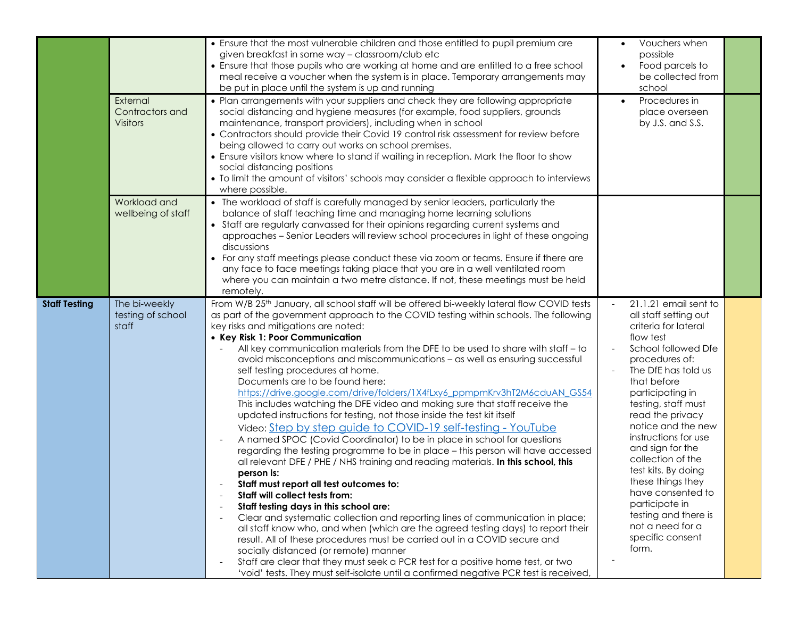|                      |                                                | • Ensure that the most vulnerable children and those entitled to pupil premium are<br>given breakfast in some way - classroom/club etc<br>• Ensure that those pupils who are working at home and are entitled to a free school<br>meal receive a voucher when the system is in place. Temporary arrangements may<br>be put in place until the system is up and running                                                                                                                                                                                                                                                                                                                                                                                                                                                                                                                                                                                                                                                                                                                                                                                                                                                                                                                                                                                                                                                                                                                                                                                                                                                                                                                     | Vouchers when<br>$\bullet$<br>possible<br>Food parcels to<br>be collected from<br>school                                                                                                                                                                                                                                                                                                                                                                                             |  |
|----------------------|------------------------------------------------|--------------------------------------------------------------------------------------------------------------------------------------------------------------------------------------------------------------------------------------------------------------------------------------------------------------------------------------------------------------------------------------------------------------------------------------------------------------------------------------------------------------------------------------------------------------------------------------------------------------------------------------------------------------------------------------------------------------------------------------------------------------------------------------------------------------------------------------------------------------------------------------------------------------------------------------------------------------------------------------------------------------------------------------------------------------------------------------------------------------------------------------------------------------------------------------------------------------------------------------------------------------------------------------------------------------------------------------------------------------------------------------------------------------------------------------------------------------------------------------------------------------------------------------------------------------------------------------------------------------------------------------------------------------------------------------------|--------------------------------------------------------------------------------------------------------------------------------------------------------------------------------------------------------------------------------------------------------------------------------------------------------------------------------------------------------------------------------------------------------------------------------------------------------------------------------------|--|
|                      | External<br>Contractors and<br><b>Visitors</b> | • Plan arrangements with your suppliers and check they are following appropriate<br>social distancing and hygiene measures (for example, food suppliers, grounds<br>maintenance, transport providers), including when in school<br>• Contractors should provide their Covid 19 control risk assessment for review before<br>being allowed to carry out works on school premises.<br>• Ensure visitors know where to stand if waiting in reception. Mark the floor to show<br>social distancing positions<br>• To limit the amount of visitors' schools may consider a flexible approach to interviews<br>where possible.                                                                                                                                                                                                                                                                                                                                                                                                                                                                                                                                                                                                                                                                                                                                                                                                                                                                                                                                                                                                                                                                   | Procedures in<br>$\bullet$<br>place overseen<br>by J.S. and S.S.                                                                                                                                                                                                                                                                                                                                                                                                                     |  |
|                      | Workload and<br>wellbeing of staff             | • The workload of staff is carefully managed by senior leaders, particularly the<br>balance of staff teaching time and managing home learning solutions<br>• Staff are regularly canvassed for their opinions regarding current systems and<br>approaches - Senior Leaders will review school procedures in light of these ongoing<br>discussions<br>• For any staff meetings please conduct these via zoom or teams. Ensure if there are<br>any face to face meetings taking place that you are in a well ventilated room<br>where you can maintain a two metre distance. If not, these meetings must be held<br>remotely.                                                                                                                                                                                                                                                                                                                                                                                                                                                                                                                                                                                                                                                                                                                                                                                                                                                                                                                                                                                                                                                                |                                                                                                                                                                                                                                                                                                                                                                                                                                                                                      |  |
| <b>Staff Testing</b> | The bi-weekly<br>testing of school<br>staff    | From W/B 25 <sup>th</sup> January, all school staff will be offered bi-weekly lateral flow COVID tests<br>as part of the government approach to the COVID testing within schools. The following<br>key risks and mitigations are noted:<br>• Key Risk 1: Poor Communication<br>All key communication materials from the DFE to be used to share with staff - to<br>avoid misconceptions and miscommunications - as well as ensuring successful<br>self testing procedures at home.<br>Documents are to be found here:<br>https://drive.google.com/drive/folders/1X4fLxy6_ppmpmKrv3hT2M6cduAN_GS54<br>This includes watching the DFE video and making sure that staff receive the<br>updated instructions for testing, not those inside the test kit itself<br>Video: Step by step guide to COVID-19 self-testing - YouTube<br>A named SPOC (Covid Coordinator) to be in place in school for questions<br>regarding the testing programme to be in place - this person will have accessed<br>all relevant DFE / PHE / NHS training and reading materials. In this school, this<br>person is:<br>Staff must report all test outcomes to:<br>Staff will collect tests from:<br>Staff testing days in this school are:<br>Clear and systematic collection and reporting lines of communication in place;<br>all staff know who, and when (which are the agreed testing days) to report their<br>result. All of these procedures must be carried out in a COVID secure and<br>socially distanced (or remote) manner<br>Staff are clear that they must seek a PCR test for a positive home test, or two<br>'void' tests. They must self-isolate until a confirmed negative PCR test is received, | 21.1.21 email sent to<br>all staff setting out<br>criteria for lateral<br>flow test<br>School followed Dfe<br>procedures of:<br>The DfE has told us<br>that before<br>participating in<br>testing, staff must<br>read the privacy<br>notice and the new<br>instructions for use<br>and sign for the<br>collection of the<br>test kits. By doing<br>these things they<br>have consented to<br>participate in<br>testing and there is<br>not a need for a<br>specific consent<br>form. |  |